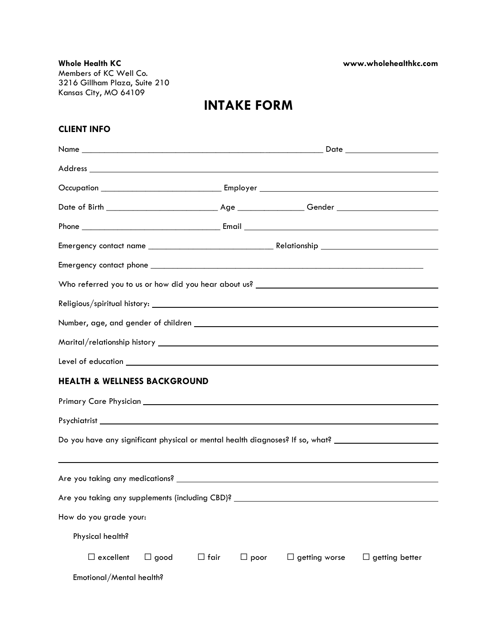**Whole Health KC www.wholehealthkc.com** Members of KC Well Co. 3216 Gillham Plaza, Suite 210 Kansas City, MO 64109

# **INTAKE FORM**

## **CLIENT INFO**

| Marital/relationship history <b>Arital According to the Contract of According to the Contract of According to the Contract of According to the Contract of According to the Contract of According to the Contract of According t</b> |             |             |                      |                       |  |  |  |
|--------------------------------------------------------------------------------------------------------------------------------------------------------------------------------------------------------------------------------------|-------------|-------------|----------------------|-----------------------|--|--|--|
| Level of education <u>experience</u> and the second service of the service of the service of the service of the service of the service of the service of the service of the service of the service of the service of the service of  |             |             |                      |                       |  |  |  |
| <b>HEALTH &amp; WELLNESS BACKGROUND</b>                                                                                                                                                                                              |             |             |                      |                       |  |  |  |
|                                                                                                                                                                                                                                      |             |             |                      |                       |  |  |  |
|                                                                                                                                                                                                                                      |             |             |                      |                       |  |  |  |
| Do you have any significant physical or mental health diagnoses? If so, what? _____________________                                                                                                                                  |             |             |                      |                       |  |  |  |
|                                                                                                                                                                                                                                      |             |             |                      |                       |  |  |  |
|                                                                                                                                                                                                                                      |             |             |                      |                       |  |  |  |
|                                                                                                                                                                                                                                      |             |             |                      |                       |  |  |  |
| How do you grade your:                                                                                                                                                                                                               |             |             |                      |                       |  |  |  |
| Physical health?                                                                                                                                                                                                                     |             |             |                      |                       |  |  |  |
| $\Box$ excellent<br>$\Box$ good                                                                                                                                                                                                      | $\Box$ fair | $\Box$ poor | $\Box$ getting worse | $\Box$ getting better |  |  |  |
| Emotional/Mental health?                                                                                                                                                                                                             |             |             |                      |                       |  |  |  |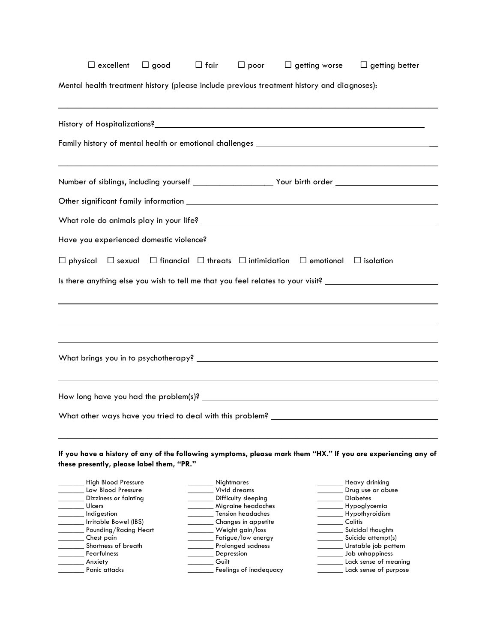|                                                                                            |       | $\Box$ poor                               | $\Box$ getting worse | $\Box$ getting better                                                                                         |
|--------------------------------------------------------------------------------------------|-------|-------------------------------------------|----------------------|---------------------------------------------------------------------------------------------------------------|
| Mental health treatment history (please include previous treatment history and diagnoses): |       |                                           |                      |                                                                                                               |
|                                                                                            |       |                                           |                      |                                                                                                               |
|                                                                                            |       |                                           |                      |                                                                                                               |
|                                                                                            |       |                                           |                      |                                                                                                               |
|                                                                                            |       |                                           |                      |                                                                                                               |
|                                                                                            |       |                                           |                      |                                                                                                               |
| Have you experienced domestic violence?                                                    |       |                                           |                      |                                                                                                               |
| $\Box$ physical $\Box$ sexual $\Box$ financial $\Box$ threats $\Box$ intimidation          |       |                                           | $\Box$ emotional     | $\Box$ isolation                                                                                              |
|                                                                                            |       |                                           |                      | Is there anything else you wish to tell me that you feel relates to your visit? ____________________          |
|                                                                                            |       |                                           |                      |                                                                                                               |
|                                                                                            |       |                                           |                      |                                                                                                               |
|                                                                                            |       |                                           |                      |                                                                                                               |
|                                                                                            |       |                                           |                      |                                                                                                               |
|                                                                                            |       |                                           |                      |                                                                                                               |
|                                                                                            |       |                                           |                      |                                                                                                               |
|                                                                                            |       |                                           |                      |                                                                                                               |
|                                                                                            |       |                                           |                      |                                                                                                               |
|                                                                                            |       |                                           |                      |                                                                                                               |
|                                                                                            |       |                                           |                      |                                                                                                               |
|                                                                                            |       |                                           |                      |                                                                                                               |
|                                                                                            |       |                                           |                      | If you have a history of any of the following symptoms, please mark them "HX." If you are experiencing any of |
|                                                                                            |       |                                           |                      |                                                                                                               |
| <b>High Blood Pressure</b>                                                                 |       | <b>Nightmares</b>                         |                      | Heavy drinking                                                                                                |
| Low Blood Pressure                                                                         |       | Vivid dreams                              |                      | Drug use or abuse                                                                                             |
| Dizziness or fainting<br>Ulcers                                                            |       | Difficulty sleeping<br>Migraine headaches |                      | <b>Diabetes</b><br>Hypoglycemia                                                                               |
| Indigestion                                                                                |       | <b>Tension headaches</b>                  |                      | Hypothyroidism                                                                                                |
| Irritable Bowel (IBS)                                                                      |       | Changes in appetite                       |                      | Colitis                                                                                                       |
| Pounding/Racing Heart                                                                      |       | Weight gain/loss                          |                      | Suicidal thoughts                                                                                             |
| Chest pain                                                                                 |       | Fatigue/low energy                        |                      | Suicide attempt(s)                                                                                            |
| these presently, please label them, "PR."<br>Shortness of breath<br>Fearfulness            |       | Prolonged sadness<br>Depression           |                      | Unstable job pattern<br>Job unhappiness                                                                       |
| Anxiety                                                                                    | Guilt | Feelings of inadequacy                    |                      | Lack sense of meaning<br>Lack sense of purpose                                                                |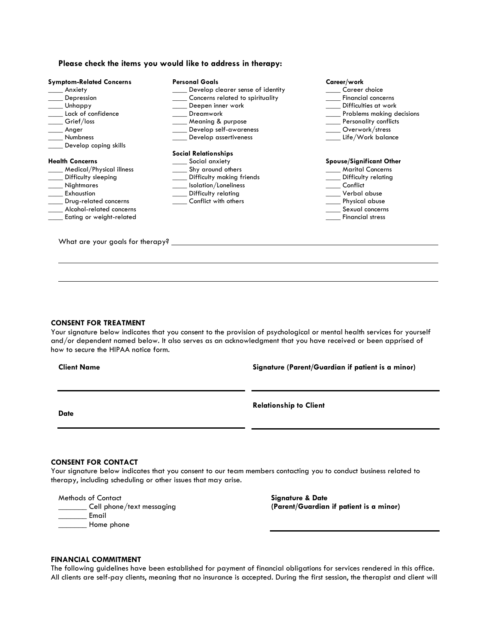#### **Please check the items you would like to address in therapy:**

| <b>Symptom-Related Concerns</b>  | <b>Personal Goals</b>             | Career/work                     |
|----------------------------------|-----------------------------------|---------------------------------|
| Anxiety                          | Develop clearer sense of identity | Career choice                   |
| Depression                       | Concerns related to spirituality  | <b>Financial concerns</b>       |
| Unhappy                          | Deepen inner work                 | Difficulties at work            |
| Lack of confidence               | Dreamwork                         | Problems making decisions       |
| Grief/loss                       | ___ Meaning & purpose             | Personality conflicts           |
| Anger                            | Develop self-awareness            | Overwork/stress                 |
| Numbness                         | Develop assertiveness             | Life/Work balance               |
| Develop coping skills            |                                   |                                 |
|                                  | <b>Social Relationships</b>       |                                 |
| <b>Health Concerns</b>           | Social anxiety                    | <b>Spouse/Significant Other</b> |
| Medical/Physical illness         | Shy around others                 | <b>Marital Concerns</b>         |
| Difficulty sleeping              | Difficulty making friends         | Difficulty relating             |
| <b>Nightmares</b>                | Isolation/Loneliness              | Conflict                        |
| Exhaustion                       | Difficulty relating               | Verbal abuse                    |
| Drug-related concerns            | Conflict with others              | Physical abuse                  |
| Alcohol-related concerns         |                                   | Sexual concerns                 |
| Eating or weight-related         |                                   | <b>Financial stress</b>         |
|                                  |                                   |                                 |
|                                  |                                   |                                 |
| What are your goals for therapy? |                                   |                                 |

#### **CONSENT FOR TREATMENT**

Your signature below indicates that you consent to the provision of psychological or mental health services for yourself and/or dependent named below. It also serves as an acknowledgment that you have received or been apprised of how to secure the HIPAA notice form.

#### **Client Name**

**Signature (Parent/Guardian if patient is a minor)**

**Date**

**Relationship to Client**

### **CONSENT FOR CONTACT**

Your signature below indicates that you consent to our team members contacting you to conduct business related to therapy, including scheduling or other issues that may arise.

Methods of Contact

\_\_\_\_\_\_\_ Cell phone/text messaging  $\equiv$  Email Home phone

**Signature & Date (Parent/Guardian if patient is a minor)**

#### **FINANCIAL COMMITMENT**

The following guidelines have been established for payment of financial obligations for services rendered in this office. All clients are self-pay clients, meaning that no insurance is accepted. During the first session, the therapist and client will